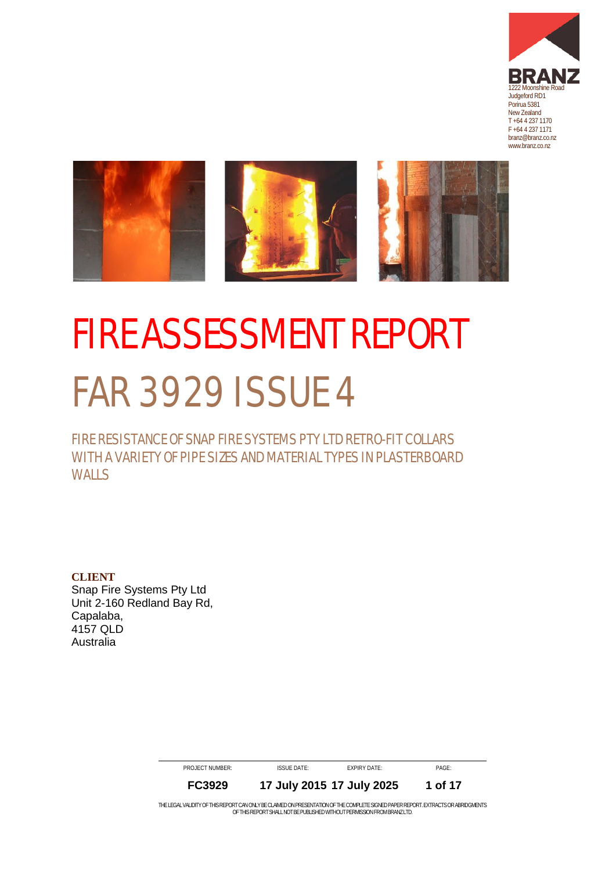



# <span id="page-0-0"></span>**FIRE ASSESSMENT REPORT** FAR 3929 ISSUE 4

# FIRE RESISTANCE OF SNAP FIRE SYSTEMS PTY LTD RETRO-FIT COLLARS WITH A VARIETY OF PIPE SIZES AND MATERIAL TYPES IN PLASTERBOARD WALLS

**CLIENT** Snap Fire Systems Pty Ltd Unit 2-160 Redland Bay Rd, Capalaba, 4157 QLD Australia

> <span id="page-0-1"></span>PROJECT NUMBER: ISSUE DATE: EXPIRY DATE: PAGE: **FC3929 17 July 2015 17 July 2025 1 of 17**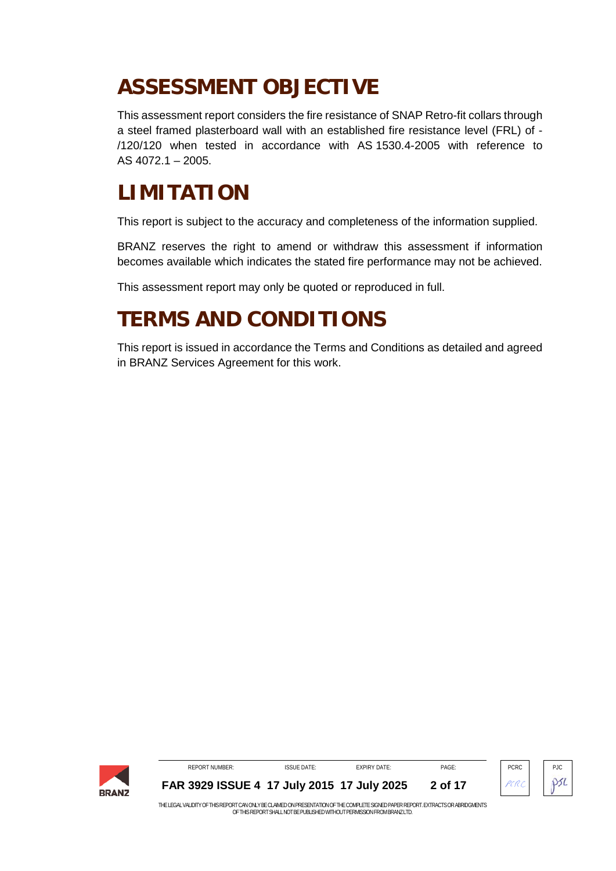# **ASSESSMENT OBJECTIVE**

This assessment report considers the fire resistance of SNAP Retro-fit collars through a steel framed plasterboard wall with an established fire resistance level (FRL) of - /120/120 when tested in accordance with AS 1530.4-2005 with reference to AS 4072.1 – 2005.

# **LIMITATION**

This report is subject to the accuracy and completeness of the information supplied.

BRANZ reserves the right to amend or withdraw this assessment if information becomes available which indicates the stated fire performance may not be achieved.

This assessment report may only be quoted or reproduced in full.

# **TERMS AND CONDITIONS**

This report is issued in accordance the Terms and Conditions as detailed and agreed in BRANZ Services Agreement for this work.

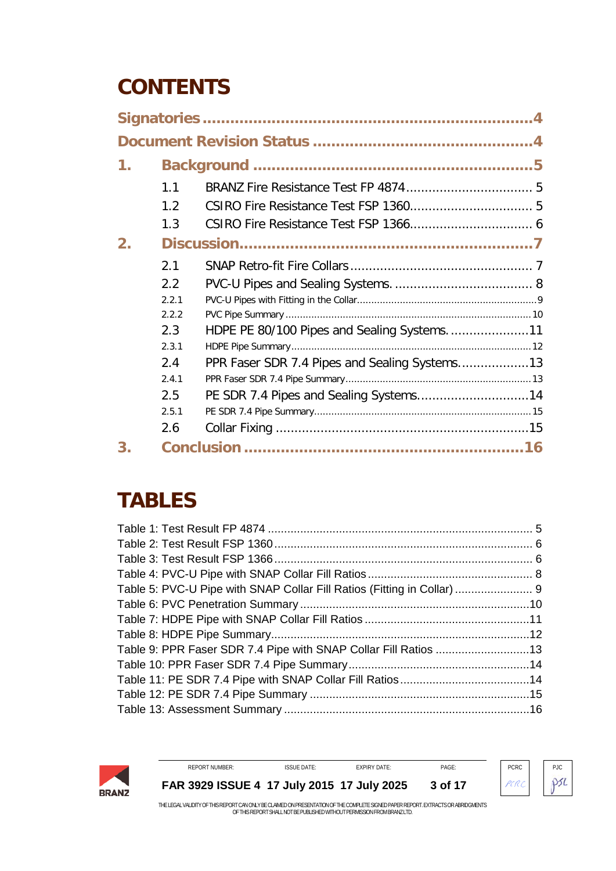# **CONTENTS**

| 1. |       |                                               |  |
|----|-------|-----------------------------------------------|--|
|    | 1.1   |                                               |  |
|    | 1.2   |                                               |  |
|    | 1.3   |                                               |  |
| 2. |       |                                               |  |
|    | 2.1   |                                               |  |
|    | 2.2   |                                               |  |
|    | 2.2.1 |                                               |  |
|    | 2.2.2 |                                               |  |
|    | 2.3   | HDPE PE 80/100 Pipes and Sealing Systems11    |  |
|    | 2.3.1 |                                               |  |
|    | 2.4   | PPR Faser SDR 7.4 Pipes and Sealing Systems13 |  |
|    | 2.4.1 |                                               |  |
|    | 2.5   |                                               |  |
|    | 2.5.1 |                                               |  |
|    | 2.6   |                                               |  |
| 3. |       |                                               |  |

# **TABLES**

| Table 5: PVC-U Pipe with SNAP Collar Fill Ratios (Fitting in Collar)  9 |  |
|-------------------------------------------------------------------------|--|
|                                                                         |  |
|                                                                         |  |
|                                                                         |  |
| Table 9: PPR Faser SDR 7.4 Pipe with SNAP Collar Fill Ratios 13         |  |
|                                                                         |  |
|                                                                         |  |
|                                                                         |  |
|                                                                         |  |



REPORT NUMBER: ISSUE DATE: EXPIRY DATE: PAGE: PCRC PCRC PJC **[FAR 3929](#page-0-0) ISSUE 4 17 July 2015 17 July 2025 3 of 17**

 $P5L$ 

PCRC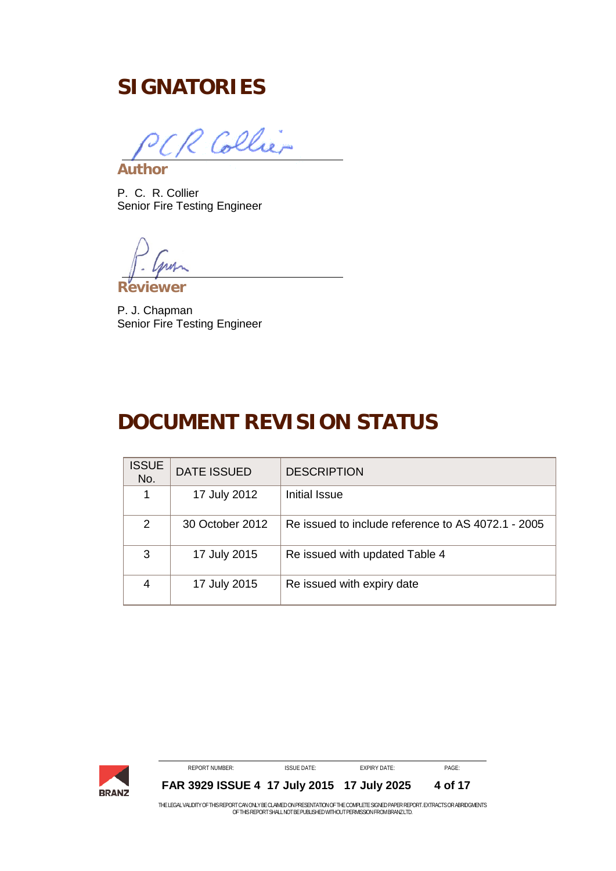# <span id="page-3-0"></span>**SIGNATORIES**

Collier **Author**

P. C. R. Collier Senior Fire Testing Engineer

**Reviewer**

P. J. Chapman Senior Fire Testing Engineer

# <span id="page-3-1"></span>**DOCUMENT REVISION STATUS**

| <b>ISSUE</b><br>No. | <b>DATE ISSUED</b> | <b>DESCRIPTION</b>                                 |
|---------------------|--------------------|----------------------------------------------------|
| 1                   | 17 July 2012       | Initial Issue                                      |
| 2                   | 30 October 2012    | Re issued to include reference to AS 4072.1 - 2005 |
| 3                   | 17 July 2015       | Re issued with updated Table 4                     |
| 4                   | 17 July 2015       | Re issued with expiry date                         |



**[FAR 3929](#page-0-0) ISSUE 4 17 July 2015 17 July 2025 4 of 17**

THE LEGAL VALIDITY OF THIS REPORT CAN ONLY BE CLAIMED ON PRESENTATION OF THE COMPLETE SIGNED PAPER REPORT. EXTRACTS OR ABRIDGMENTS<br>OF THIS REPORT SHALL NOT BE PUBLISHED WITHOUT PERMISSION FROM BRANZ LTD.

REPORT NUMBER: ISSUE DATE: EXPIRY DATE: PAGE: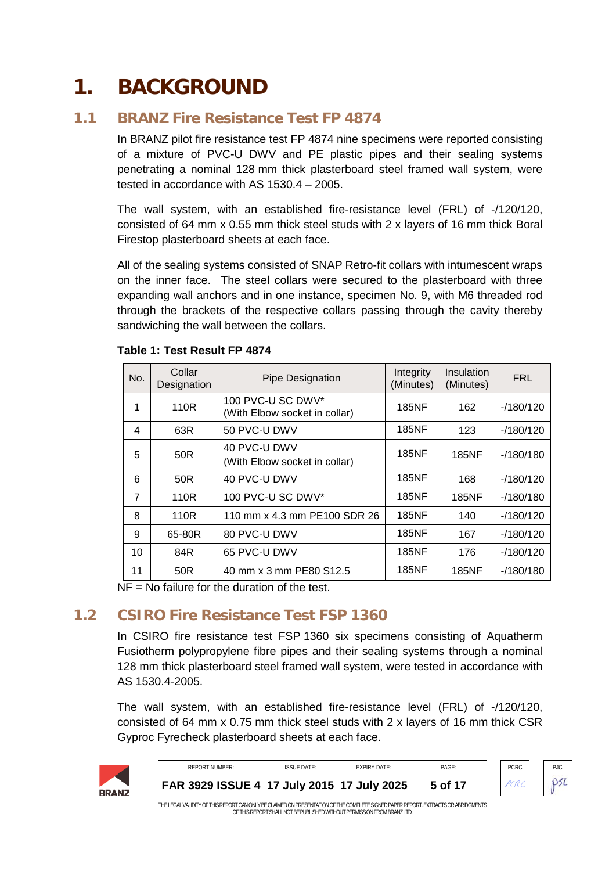# <span id="page-4-0"></span>**1. BACKGROUND**

# **1.1 BRANZ Fire Resistance Test FP 4874**

<span id="page-4-1"></span>In BRANZ pilot fire resistance test FP 4874 nine specimens were reported consisting of a mixture of PVC-U DWV and PE plastic pipes and their sealing systems penetrating a nominal 128 mm thick plasterboard steel framed wall system, were tested in accordance with AS 1530.4 – 2005.

The wall system, with an established fire-resistance level (FRL) of -/120/120, consisted of 64 mm x 0.55 mm thick steel studs with 2 x layers of 16 mm thick Boral Firestop plasterboard sheets at each face.

All of the sealing systems consisted of SNAP Retro-fit collars with intumescent wraps on the inner face. The steel collars were secured to the plasterboard with three expanding wall anchors and in one instance, specimen No. 9, with M6 threaded rod through the brackets of the respective collars passing through the cavity thereby sandwiching the wall between the collars.

| No.            | Collar<br>Designation | Pipe Designation                                   | Integrity<br>(Minutes) | Insulation<br>(Minutes) | <b>FRL</b> |
|----------------|-----------------------|----------------------------------------------------|------------------------|-------------------------|------------|
| 1              | 110R                  | 100 PVC-U SC DWV*<br>(With Elbow socket in collar) | <b>185NF</b>           | 162                     | $-180/120$ |
| 4              | 63R                   | 50 PVC-U DWV                                       | 185NF                  | 123                     | $-180/120$ |
| 5              | 50 <sub>R</sub>       | 40 PVC-U DWV<br>(With Elbow socket in collar)      | <b>185NF</b>           | <b>185NF</b>            | $-180/180$ |
| 6              | 50R                   | 40 PVC-U DWV                                       | <b>185NF</b>           | 168                     | $-180/120$ |
| $\overline{7}$ | 110R                  | 100 PVC-U SC DWV*                                  | <b>185NF</b>           | <b>185NF</b>            | $-180/180$ |
| 8              | 110R                  | 110 mm x 4.3 mm PE100 SDR 26                       | <b>185NF</b>           | 140                     | $-180/120$ |
| 9              | 65-80R                | 80 PVC-U DWV                                       | 185NF                  | 167                     | $-180/120$ |
| 10             | 84R                   | 65 PVC-U DWV                                       | <b>185NF</b>           | 176                     | $-180/120$ |
| 11             | 50R                   | 40 mm x 3 mm PE80 S12.5                            | <b>185NF</b>           | <b>185NF</b>            | $-180/180$ |

### <span id="page-4-3"></span>**Table 1: Test Result FP 4874**

<span id="page-4-2"></span> $NF = No$  failure for the duration of the test.

# **1.2 CSIRO Fire Resistance Test FSP 1360**

In CSIRO fire resistance test FSP 1360 six specimens consisting of Aquatherm Fusiotherm polypropylene fibre pipes and their sealing systems through a nominal 128 mm thick plasterboard steel framed wall system, were tested in accordance with AS 1530.4-2005.

The wall system, with an established fire-resistance level (FRL) of -/120/120, consisted of 64 mm x 0.75 mm thick steel studs with 2 x layers of 16 mm thick CSR Gyproc Fyrecheck plasterboard sheets at each face.



| REPORT NUMBER:                                                                                                                     | <b>ISSUE DATE:</b> | <b>FXPIRY DATE:</b> | PAGF:   | <b>PCRC</b> | PJC |
|------------------------------------------------------------------------------------------------------------------------------------|--------------------|---------------------|---------|-------------|-----|
| FAR 3929 ISSUE 4 17 July 2015 17 July 2025                                                                                         |                    |                     | 5 of 17 | PCRC PSL    |     |
| THE LECAL VALIDITY OF THIS DEDODT CAN ONLY DE CLAIMED ON DRESENTATION OF THE COMPLETE SICNED DADED DEDODT. EVERAGES OD ADDIDOMENTS |                    |                     |         |             |     |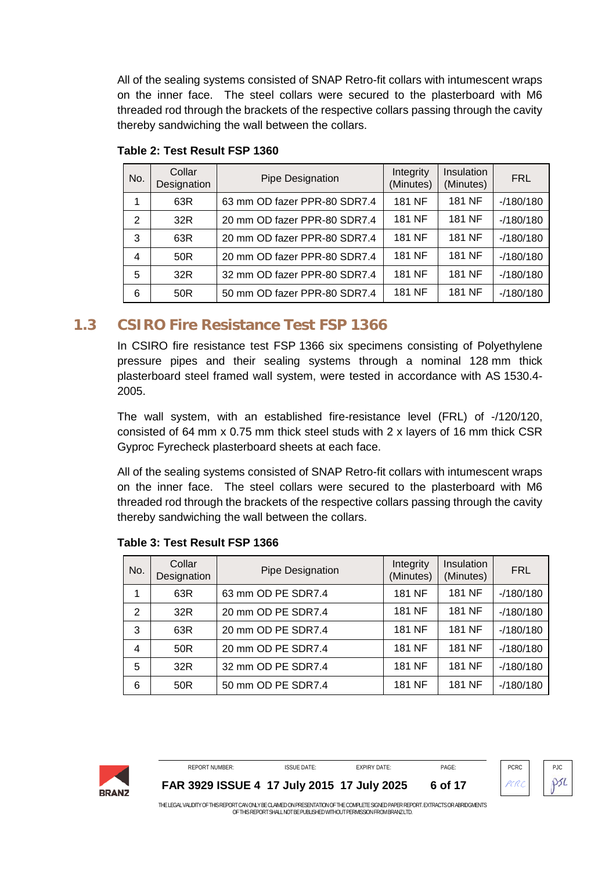All of the sealing systems consisted of SNAP Retro-fit collars with intumescent wraps on the inner face. The steel collars were secured to the plasterboard with M6 threaded rod through the brackets of the respective collars passing through the cavity thereby sandwiching the wall between the collars.

| No. | Collar<br>Designation | Pipe Designation             | Integrity<br>(Minutes) | Insulation<br>(Minutes) | <b>FRL</b> |
|-----|-----------------------|------------------------------|------------------------|-------------------------|------------|
|     | 63R                   | 63 mm OD fazer PPR-80 SDR7.4 | 181 NF                 | 181 NF                  | $-180/180$ |
| 2   | 32R                   | 20 mm OD fazer PPR-80 SDR7.4 | 181 NF                 | 181 NF                  | $-180/180$ |
| 3   | 63R                   | 20 mm OD fazer PPR-80 SDR7.4 | 181 NF                 | 181 NF                  | $-180/180$ |
| 4   | 50 <sub>R</sub>       | 20 mm OD fazer PPR-80 SDR7.4 | 181 NF                 | 181 NF                  | $-180/180$ |
| 5   | 32R                   | 32 mm OD fazer PPR-80 SDR7.4 | 181 NF                 | 181 NF                  | $-180/180$ |
| 6   | 50R                   | 50 mm OD fazer PPR-80 SDR7.4 | 181 NF                 | 181 NF                  | $-180/180$ |

<span id="page-5-1"></span>**Table 2: Test Result FSP 1360**

### **1.3 CSIRO Fire Resistance Test FSP 1366**

<span id="page-5-0"></span>In CSIRO fire resistance test FSP 1366 six specimens consisting of Polyethylene pressure pipes and their sealing systems through a nominal 128 mm thick plasterboard steel framed wall system, were tested in accordance with AS 1530.4- 2005.

The wall system, with an established fire-resistance level (FRL) of -/120/120, consisted of 64 mm x 0.75 mm thick steel studs with 2 x layers of 16 mm thick CSR Gyproc Fyrecheck plasterboard sheets at each face.

All of the sealing systems consisted of SNAP Retro-fit collars with intumescent wraps on the inner face. The steel collars were secured to the plasterboard with M6 threaded rod through the brackets of the respective collars passing through the cavity thereby sandwiching the wall between the collars.

| No. | Collar<br>Designation | Pipe Designation   | Integrity<br>(Minutes) | Insulation<br>(Minutes) | <b>FRL</b> |
|-----|-----------------------|--------------------|------------------------|-------------------------|------------|
|     | 63R                   | 63 mm OD PE SDR7.4 | 181 NF                 | 181 NF                  | $-180/180$ |
| 2   | 32R                   | 20 mm OD PE SDR7.4 | 181 NF                 | 181 NF                  | $-180/180$ |
| 3   | 63R                   | 20 mm OD PE SDR7.4 | 181 NF                 | 181 NF                  | $-180/180$ |
| 4   | 50R                   | 20 mm OD PE SDR7.4 | 181 NF                 | 181 NF                  | $-180/180$ |
| 5   | 32R                   | 32 mm OD PE SDR7.4 | 181 NF                 | 181 NF                  | $-180/180$ |
| 6   | 50 <sub>R</sub>       | 50 mm OD PE SDR7.4 | 181 NF                 | 181 NF                  | $-180/180$ |

### <span id="page-5-2"></span>**Table 3: Test Result FSP 1366**

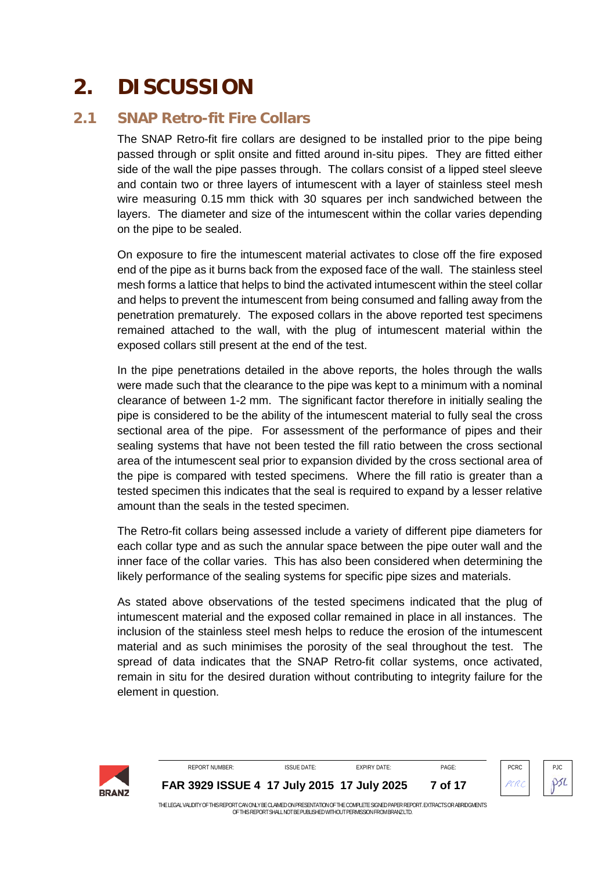# <span id="page-6-0"></span>**2. DISCUSSION**

# **2.1 SNAP Retro-fit Fire Collars**

<span id="page-6-1"></span>The SNAP Retro-fit fire collars are designed to be installed prior to the pipe being passed through or split onsite and fitted around in-situ pipes. They are fitted either side of the wall the pipe passes through. The collars consist of a lipped steel sleeve and contain two or three layers of intumescent with a layer of stainless steel mesh wire measuring 0.15 mm thick with 30 squares per inch sandwiched between the layers. The diameter and size of the intumescent within the collar varies depending on the pipe to be sealed.

On exposure to fire the intumescent material activates to close off the fire exposed end of the pipe as it burns back from the exposed face of the wall. The stainless steel mesh forms a lattice that helps to bind the activated intumescent within the steel collar and helps to prevent the intumescent from being consumed and falling away from the penetration prematurely. The exposed collars in the above reported test specimens remained attached to the wall, with the plug of intumescent material within the exposed collars still present at the end of the test.

In the pipe penetrations detailed in the above reports, the holes through the walls were made such that the clearance to the pipe was kept to a minimum with a nominal clearance of between 1-2 mm. The significant factor therefore in initially sealing the pipe is considered to be the ability of the intumescent material to fully seal the cross sectional area of the pipe. For assessment of the performance of pipes and their sealing systems that have not been tested the fill ratio between the cross sectional area of the intumescent seal prior to expansion divided by the cross sectional area of the pipe is compared with tested specimens. Where the fill ratio is greater than a tested specimen this indicates that the seal is required to expand by a lesser relative amount than the seals in the tested specimen.

The Retro-fit collars being assessed include a variety of different pipe diameters for each collar type and as such the annular space between the pipe outer wall and the inner face of the collar varies. This has also been considered when determining the likely performance of the sealing systems for specific pipe sizes and materials.

As stated above observations of the tested specimens indicated that the plug of intumescent material and the exposed collar remained in place in all instances. The inclusion of the stainless steel mesh helps to reduce the erosion of the intumescent material and as such minimises the porosity of the seal throughout the test. The spread of data indicates that the SNAP Retro-fit collar systems, once activated, remain in situ for the desired duration without contributing to integrity failure for the element in question.

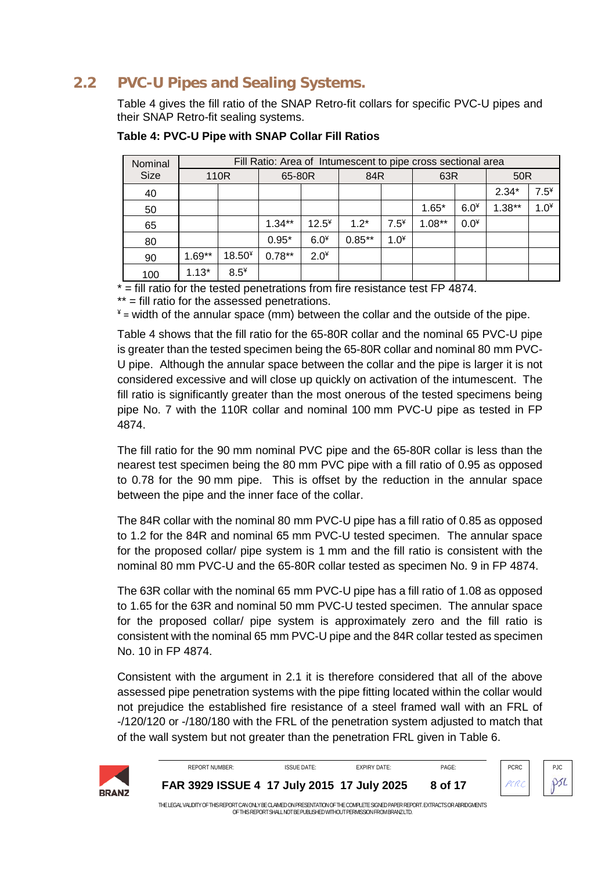#### **PVC-U Pipes and Sealing Systems.**  $2.2$

<span id="page-7-0"></span>Table 4 gives the fill ratio of the SNAP Retro-fit collars for specific PVC-U pipes and their SNAP Retro-fit sealing systems.

| Nominal     |          | Fill Ratio: Area of Intumescent to pipe cross sectional area |          |         |           |        |           |        |                 |        |  |  |
|-------------|----------|--------------------------------------------------------------|----------|---------|-----------|--------|-----------|--------|-----------------|--------|--|--|
| <b>Size</b> |          | 110R                                                         | 65-80R   |         | 84R       |        | 63R       |        | 50 <sub>R</sub> |        |  |  |
| 40          |          |                                                              |          |         |           |        |           |        | $2.34*$         | $7.5*$ |  |  |
| 50          |          |                                                              |          |         |           |        | $1.65*$   | $6.0*$ | $1.38***$       | $1.0*$ |  |  |
| 65          |          |                                                              | $1.34**$ | $12.5*$ | $1.2*$    | $7.5*$ | $1.08***$ | $0.0*$ |                 |        |  |  |
| 80          |          |                                                              | $0.95*$  | $6.0*$  | $0.85***$ | $1.0*$ |           |        |                 |        |  |  |
| 90          | $1.69**$ | $18.50*$                                                     | $0.78**$ | $2.0*$  |           |        |           |        |                 |        |  |  |
| 100         | $1.13*$  | $8.5*$                                                       |          |         |           |        |           |        |                 |        |  |  |

<span id="page-7-1"></span>Table 4: PVC-U Pipe with SNAP Collar Fill Ratios

 $*$  = fill ratio for the tested penetrations from fire resistance test FP 4874.

\*\* = fill ratio for the assessed penetrations.

 $*$  = width of the annular space (mm) between the collar and the outside of the pipe.

Table 4 shows that the fill ratio for the 65-80R collar and the nominal 65 PVC-U pipe is greater than the tested specimen being the 65-80R collar and nominal 80 mm PVC-U pipe. Although the annular space between the collar and the pipe is larger it is not considered excessive and will close up quickly on activation of the intumescent. The fill ratio is significantly greater than the most onerous of the tested specimens being pipe No. 7 with the 110R collar and nominal 100 mm PVC-U pipe as tested in FP 4874.

The fill ratio for the 90 mm nominal PVC pipe and the 65-80R collar is less than the nearest test specimen being the 80 mm PVC pipe with a fill ratio of 0.95 as opposed to 0.78 for the 90 mm pipe. This is offset by the reduction in the annular space between the pipe and the inner face of the collar.

The 84R collar with the nominal 80 mm PVC-U pipe has a fill ratio of 0.85 as opposed to 1.2 for the 84R and nominal 65 mm PVC-U tested specimen. The annular space for the proposed collar/ pipe system is 1 mm and the fill ratio is consistent with the nominal 80 mm PVC-U and the 65-80R collar tested as specimen No. 9 in FP 4874.

The 63R collar with the nominal 65 mm PVC-U pipe has a fill ratio of 1.08 as opposed to 1.65 for the 63R and nominal 50 mm PVC-U tested specimen. The annular space for the proposed collar/ pipe system is approximately zero and the fill ratio is consistent with the nominal 65 mm PVC-U pipe and the 84R collar tested as specimen No. 10 in FP 4874.

Consistent with the argument in 2.1 it is therefore considered that all of the above assessed pipe penetration systems with the pipe fitting located within the collar would not prejudice the established fire resistance of a steel framed wall with an FRL of -/120/120 or -/180/180 with the FRL of the penetration system adjusted to match that of the wall system but not greater than the penetration FRL given in Table 6.



| <b>REPORT NUMBER:</b>                                                                                                              | <b>ISSUE DATE:</b> | <b>FXPIRY DATE:</b> | PAGF:   | <b>PCRC</b> | $P_{\cdot}$ IC |
|------------------------------------------------------------------------------------------------------------------------------------|--------------------|---------------------|---------|-------------|----------------|
| FAR 3929 ISSUE 4 17 July 2015 17 July 2025                                                                                         |                    |                     | 8 of 17 |             |                |
| THE LECAL VALIDITY OF THE DEDODT CAN ONLY DE CLAIMED ON DDECENTATION OF THE COMPLETE CICNED DADED DEDODT. EVED ACTO OD ADDIDOMENTO |                    |                     |         |             |                |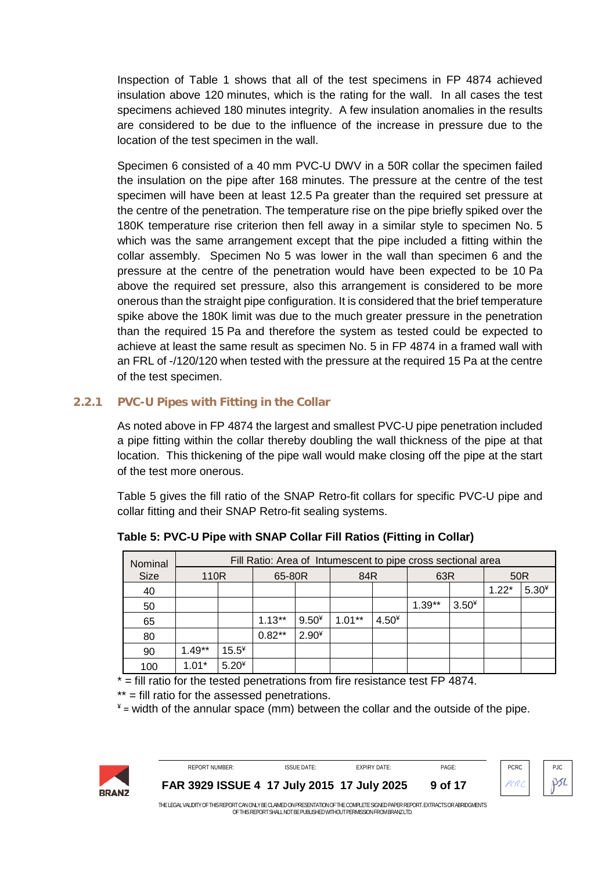Inspection of Table 1 shows that all of the test specimens in FP 4874 achieved insulation above 120 minutes, which is the rating for the wall. In all cases the test specimens achieved 180 minutes integrity. A few insulation anomalies in the results are considered to be due to the influence of the increase in pressure due to the location of the test specimen in the wall.

Specimen 6 consisted of a 40 mm PVC-U DWV in a 50R collar the specimen failed the insulation on the pipe after 168 minutes. The pressure at the centre of the test specimen will have been at least 12.5 Pa greater than the required set pressure at the centre of the penetration. The temperature rise on the pipe briefly spiked over the 180K temperature rise criterion then fell away in a similar style to specimen No. 5 which was the same arrangement except that the pipe included a fitting within the collar assembly. Specimen No 5 was lower in the wall than specimen 6 and the pressure at the centre of the penetration would have been expected to be 10 Pa above the required set pressure, also this arrangement is considered to be more onerous than the straight pipe configuration. It is considered that the brief temperature spike above the 180K limit was due to the much greater pressure in the penetration than the required 15 Pa and therefore the system as tested could be expected to achieve at least the same result as specimen No. 5 in FP 4874 in a framed wall with an FRL of -/120/120 when tested with the pressure at the required 15 Pa at the centre of the test specimen.

### **2.2.1 PVC-U Pipes with Fitting in the Collar**

<span id="page-8-0"></span>As noted above in FP 4874 the largest and smallest PVC-U pipe penetration included a pipe fitting within the collar thereby doubling the wall thickness of the pipe at that location. This thickening of the pipe wall would make closing off the pipe at the start of the test more onerous.

[Table 5](#page-8-1) gives the fill ratio of the SNAP Retro-fit collars for specific PVC-U pipe and collar fitting and their SNAP Retro-fit sealing systems.

| Nominal     |          | Fill Ratio: Area of Intumescent to pipe cross sectional area |          |         |           |         |          |         |         |         |  |  |
|-------------|----------|--------------------------------------------------------------|----------|---------|-----------|---------|----------|---------|---------|---------|--|--|
| <b>Size</b> | 110R     |                                                              | 65-80R   |         | 84R       |         | 63R      |         | 50R     |         |  |  |
| 40          |          |                                                              |          |         |           |         |          |         | $1.22*$ | $5.30*$ |  |  |
| 50          |          |                                                              |          |         |           |         | $1.39**$ | $3.50*$ |         |         |  |  |
| 65          |          |                                                              | $1.13**$ | $9.50*$ | $1.01***$ | $4.50*$ |          |         |         |         |  |  |
| 80          |          |                                                              | $0.82**$ | $2.90*$ |           |         |          |         |         |         |  |  |
| 90          | $1.49**$ | $15.5*$                                                      |          |         |           |         |          |         |         |         |  |  |
| 100         | $1.01*$  | $5.20*$                                                      |          |         |           |         |          |         |         |         |  |  |

<span id="page-8-1"></span>**Table 5: PVC-U Pipe with SNAP Collar Fill Ratios (Fitting in Collar)**

\* = fill ratio for the tested penetrations from fire resistance test FP 4874.

\*\* = fill ratio for the assessed penetrations.

 $*$  = width of the annular space (mm) between the collar and the outside of the pipe.





PCRC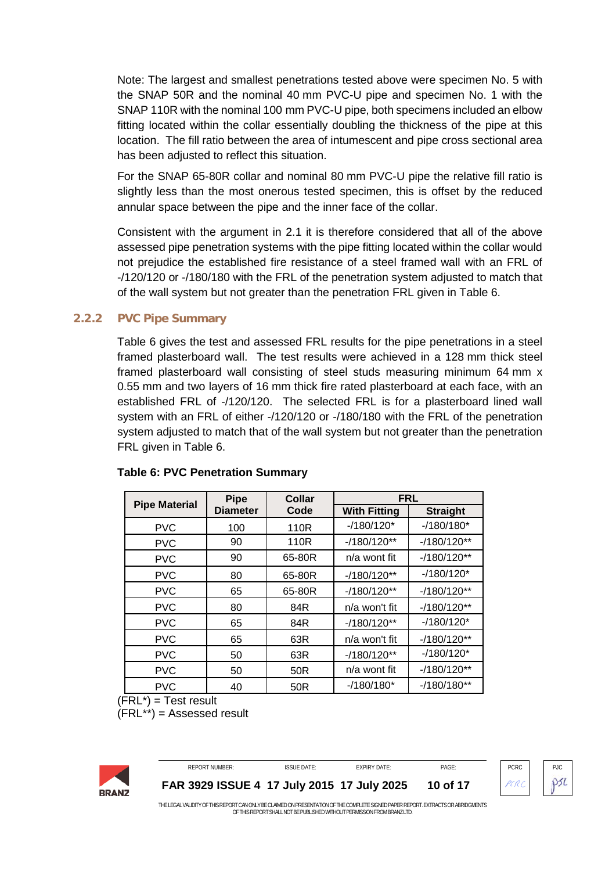Note: The largest and smallest penetrations tested above were specimen No. 5 with the SNAP 50R and the nominal 40 mm PVC-U pipe and specimen No. 1 with the SNAP 110R with the nominal 100 mm PVC-U pipe, both specimens included an elbow fitting located within the collar essentially doubling the thickness of the pipe at this location. The fill ratio between the area of intumescent and pipe cross sectional area has been adjusted to reflect this situation.

For the SNAP 65-80R collar and nominal 80 mm PVC-U pipe the relative fill ratio is slightly less than the most onerous tested specimen, this is offset by the reduced annular space between the pipe and the inner face of the collar.

Consistent with the argument in 2.1 it is therefore considered that all of the above assessed pipe penetration systems with the pipe fitting located within the collar would not prejudice the established fire resistance of a steel framed wall with an FRL of -/120/120 or -/180/180 with the FRL of the penetration system adjusted to match that of the wall system but not greater than the penetration FRL given in Table 6.

### **2.2.2 PVC Pipe Summary**

<span id="page-9-0"></span>Table 6 gives the test and assessed FRL results for the pipe penetrations in a steel framed plasterboard wall. The test results were achieved in a 128 mm thick steel framed plasterboard wall consisting of steel studs measuring minimum 64 mm x 0.55 mm and two layers of 16 mm thick fire rated plasterboard at each face, with an established FRL of -/120/120. The selected FRL is for a plasterboard lined wall system with an FRL of either -/120/120 or -/180/180 with the FRL of the penetration system adjusted to match that of the wall system but not greater than the penetration FRL given in Table 6.

|                      | <b>Pipe</b>     | Collar          | <b>FRL</b>          |                 |  |
|----------------------|-----------------|-----------------|---------------------|-----------------|--|
| <b>Pipe Material</b> | <b>Diameter</b> | Code            | <b>With Fitting</b> | <b>Straight</b> |  |
| <b>PVC</b>           | 100             | 110R            | $-180/120*$         | $-180/180*$     |  |
| <b>PVC</b>           | 90              | 110R            | $-180/120**$        | $-180/120**$    |  |
| <b>PVC</b>           | 90              | 65-80R          | n/a wont fit        | $-180/120**$    |  |
| <b>PVC</b>           | 80              | 65-80R          | $-180/120**$        | $-180/120*$     |  |
| <b>PVC</b>           | 65              | 65-80R          | $-180/120**$        | $-180/120**$    |  |
| <b>PVC</b>           | 80              | 84R             | n/a won't fit       | $-180/120**$    |  |
| <b>PVC</b>           | 65              | 84R             | $-180/120**$        | $-180/120*$     |  |
| <b>PVC</b>           | 65              | 63R             | n/a won't fit       | $-180/120**$    |  |
| <b>PVC</b>           | 50              | 63R             | $-180/120**$        | $-180/120*$     |  |
| <b>PVC</b>           | 50              | 50 <sub>R</sub> | n/a wont fit        | $-180/120**$    |  |
| <b>PVC</b>           | 40              | 50 <sub>R</sub> | $-180/180*$         | $-180/180**$    |  |

### <span id="page-9-1"></span>**Table 6: PVC Penetration Summary**

 $(FRL^*)$  = Test result

(FRL\*\*) = Assessed result



REPORT NUMBER: ISSUE DATE: EXPIRY DATE: PAGE: PCRC PJC **[FAR 3929](#page-0-0) ISSUE 4 17 July 2015 17 July 2025 10 of 17**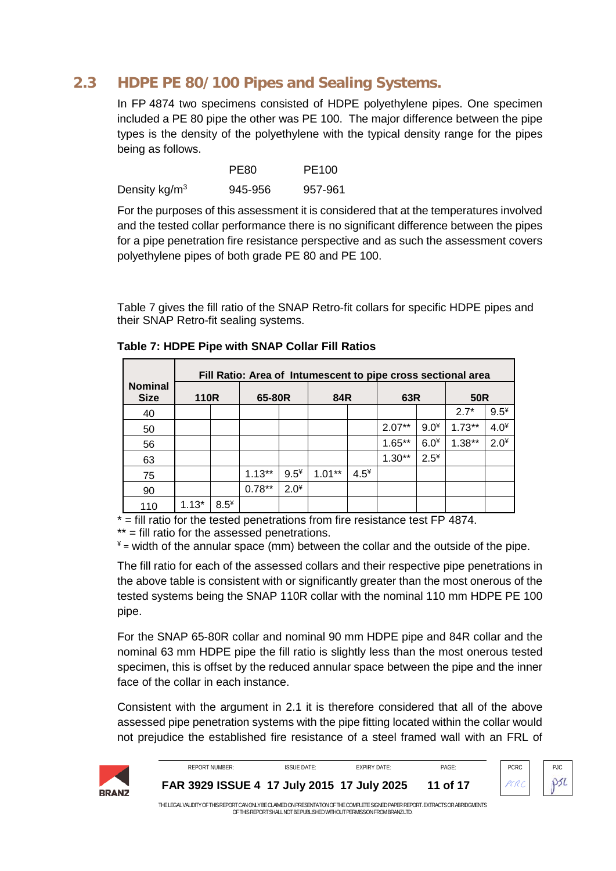#### HDPE PE 80/100 Pipes and Sealing Systems.  $2.3$

<span id="page-10-0"></span>In FP 4874 two specimens consisted of HDPE polyethylene pipes. One specimen included a PE 80 pipe the other was PE 100. The major difference between the pipe types is the density of the polyethylene with the typical density range for the pipes being as follows.

|                  | PE <sub>80</sub> | PE100   |
|------------------|------------------|---------|
| Density kg/ $m3$ | 945-956          | 957-961 |

For the purposes of this assessment it is considered that at the temperatures involved and the tested collar performance there is no significant difference between the pipes for a pipe penetration fire resistance perspective and as such the assessment covers polyethylene pipes of both grade PE 80 and PE 100.

<span id="page-10-2"></span>Table 7 gives the fill ratio of the SNAP Retro-fit collars for specific HDPE pipes and their SNAP Retro-fit sealing systems.

|                               | Fill Ratio: Area of Intumescent to pipe cross sectional area |        |          |        |          |        |          |        |            |        |
|-------------------------------|--------------------------------------------------------------|--------|----------|--------|----------|--------|----------|--------|------------|--------|
| <b>Nominal</b><br><b>Size</b> | <b>110R</b>                                                  |        | 65-80R   |        | 84R      |        | 63R      |        | <b>50R</b> |        |
| 40                            |                                                              |        |          |        |          |        |          |        | $2.7*$     | $9.5*$ |
| 50                            |                                                              |        |          |        |          |        | $2.07**$ | $9.0*$ | $1.73**$   | $4.0*$ |
| 56                            |                                                              |        |          |        |          |        | $1.65**$ | $6.0*$ | $1.38**$   | $2.0*$ |
| 63                            |                                                              |        |          |        |          |        | $1.30**$ | $2.5*$ |            |        |
| 75                            |                                                              |        | $1.13**$ | $9.5*$ | $1.01**$ | $4.5*$ |          |        |            |        |
| 90                            |                                                              |        | $0.78**$ | $2.0*$ |          |        |          |        |            |        |
| 110                           | $1.13*$                                                      | $8.5*$ |          |        |          |        |          |        |            |        |

<span id="page-10-1"></span>

|  |  | Table 7: HDPE Pipe with SNAP Collar Fill Ratios |
|--|--|-------------------------------------------------|
|  |  |                                                 |

 $*$  = fill ratio for the tested penetrations from fire resistance test FP 4874.

\*\* = fill ratio for the assessed penetrations.

 $*$  = width of the annular space (mm) between the collar and the outside of the pipe.

The fill ratio for each of the assessed collars and their respective pipe penetrations in the above table is consistent with or significantly greater than the most onerous of the tested systems being the SNAP 110R collar with the nominal 110 mm HDPE PE 100 pipe.

For the SNAP 65-80R collar and nominal 90 mm HDPE pipe and 84R collar and the nominal 63 mm HDPE pipe the fill ratio is slightly less than the most onerous tested specimen, this is offset by the reduced annular space between the pipe and the inner face of the collar in each instance.

Consistent with the argument in 2.1 it is therefore considered that all of the above assessed pipe penetration systems with the pipe fitting located within the collar would not prejudice the established fire resistance of a steel framed wall with an FRL of

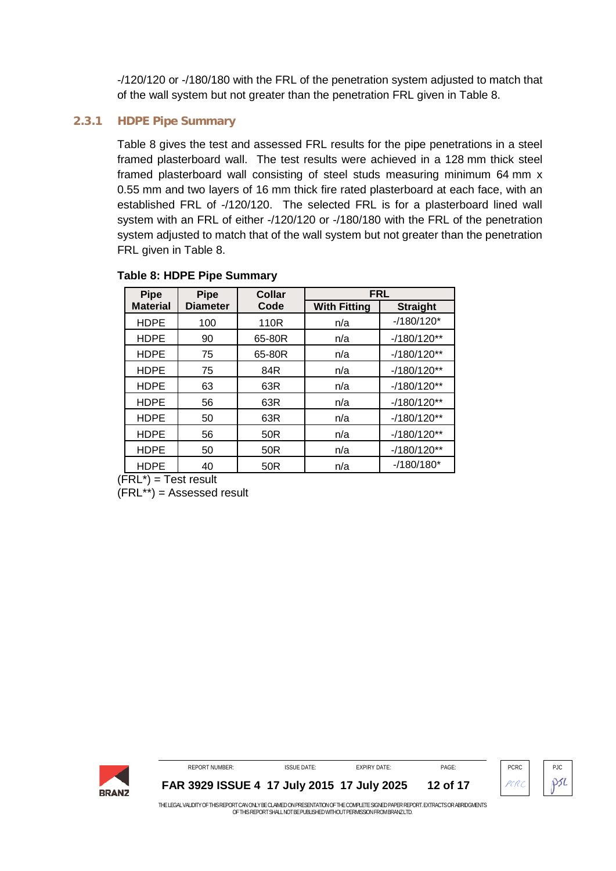-/120/120 or -/180/180 with the FRL of the penetration system adjusted to match that of the wall system but not greater than the penetration FRL given in Table 8.

### **2.3.1 HDPE Pipe Summary**

<span id="page-11-0"></span>Table 8 gives the test and assessed FRL results for the pipe penetrations in a steel framed plasterboard wall. The test results were achieved in a 128 mm thick steel framed plasterboard wall consisting of steel studs measuring minimum 64 mm x 0.55 mm and two layers of 16 mm thick fire rated plasterboard at each face, with an established FRL of -/120/120. The selected FRL is for a plasterboard lined wall system with an FRL of either -/120/120 or -/180/180 with the FRL of the penetration system adjusted to match that of the wall system but not greater than the penetration FRL given in Table 8.

| <b>Pipe</b>     | <b>Pipe</b>     | Collar | <b>FRL</b>          |                 |
|-----------------|-----------------|--------|---------------------|-----------------|
| <b>Material</b> | <b>Diameter</b> | Code   | <b>With Fitting</b> | <b>Straight</b> |
| <b>HDPE</b>     | 100             | 110R   | n/a                 | $-180/120*$     |
| <b>HDPE</b>     | 90              | 65-80R | n/a                 | $-180/120**$    |
| <b>HDPE</b>     | 75              | 65-80R | n/a                 | $-180/120**$    |
| <b>HDPE</b>     | 75              | 84R    | n/a                 | $-180/120**$    |
| <b>HDPE</b>     | 63              | 63R    | n/a                 | $-180/120**$    |
| <b>HDPE</b>     | 56              | 63R    | n/a                 | $-180/120**$    |
| <b>HDPE</b>     | 50              | 63R    | n/a                 | $-180/120**$    |
| <b>HDPE</b>     | 56              | 50R    | n/a                 | $-180/120**$    |
| <b>HDPE</b>     | 50              | 50R    | n/a                 | $-180/120**$    |
| <b>HDPE</b>     | 40              | 50R    | n/a                 | $-180/180*$     |

### <span id="page-11-1"></span>**Table 8: HDPE Pipe Summary**

 $(FRL^*)$  = Test result

 $(FRL^{**})$  = Assessed result



OF THIS REPORT SHALL NOT BE PUBLISHED WITHOUT PERMISSION FROM BRANZ LTD.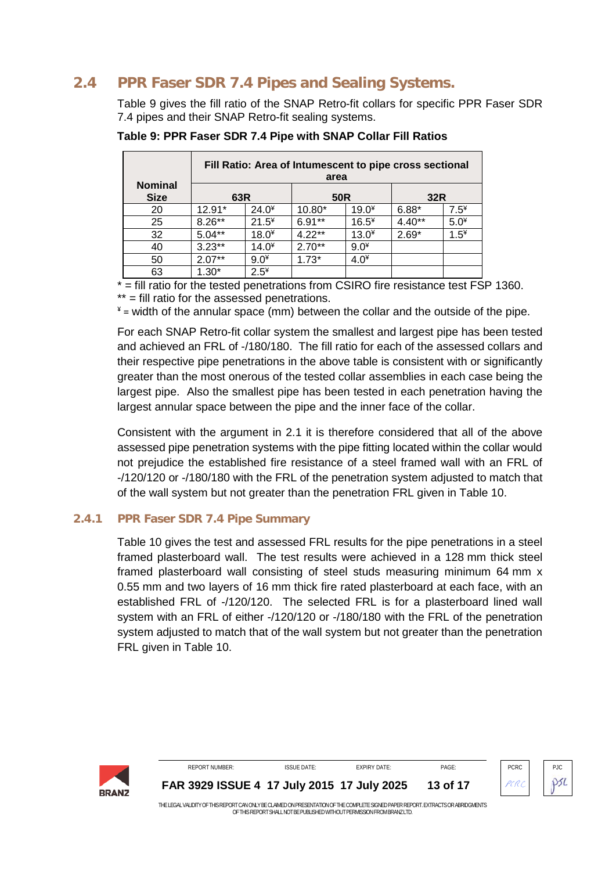#### PPR Faser SDR 7.4 Pipes and Sealing Systems.  $2.4$

<span id="page-12-0"></span>Table 9 gives the fill ratio of the SNAP Retro-fit collars for specific PPR Faser SDR 7.4 pipes and their SNAP Retro-fit sealing systems.

|                               | Fill Ratio: Area of Intumescent to pipe cross sectional<br>area |         |                 |         |          |        |  |  |
|-------------------------------|-----------------------------------------------------------------|---------|-----------------|---------|----------|--------|--|--|
| <b>Nominal</b><br><b>Size</b> | 63R                                                             |         | 50 <sub>R</sub> |         | 32R      |        |  |  |
| 20                            | $12.91*$                                                        | $24.0*$ | 10.80*          | $19.0*$ | $6.88*$  | $7.5*$ |  |  |
| 25                            | $8.26***$                                                       | $21.5*$ | $6.91**$        | $16.5*$ | $4.40**$ | $5.0*$ |  |  |
| 32                            | $5.04**$                                                        | $18.0*$ | $4.22**$        | $13.0*$ | $2.69*$  | $1.5*$ |  |  |
| 40                            | $3.23**$                                                        | $14.0*$ | $2.70**$        | $9.0*$  |          |        |  |  |
| 50                            | $2.07**$                                                        | $9.0*$  | $1.73*$         | $4.0*$  |          |        |  |  |
| 63                            | $1.30*$                                                         | $2.5*$  |                 |         |          |        |  |  |

<span id="page-12-2"></span>Table 9: PPR Faser SDR 7.4 Pipe with SNAP Collar Fill Ratios

 $\overline{P}$  = fill ratio for the tested penetrations from CSIRO fire resistance test FSP 1360.

\*\* = fill ratio for the assessed penetrations.

 $*$  = width of the annular space (mm) between the collar and the outside of the pipe.

For each SNAP Retro-fit collar system the smallest and largest pipe has been tested and achieved an FRL of -/180/180. The fill ratio for each of the assessed collars and their respective pipe penetrations in the above table is consistent with or significantly greater than the most onerous of the tested collar assemblies in each case being the largest pipe. Also the smallest pipe has been tested in each penetration having the largest annular space between the pipe and the inner face of the collar.

Consistent with the argument in 2.1 it is therefore considered that all of the above assessed pipe penetration systems with the pipe fitting located within the collar would not prejudice the established fire resistance of a steel framed wall with an FRL of -/120/120 or -/180/180 with the FRL of the penetration system adjusted to match that of the wall system but not greater than the penetration FRL given in Table 10.

#### $2.4.1$ **PPR Faser SDR 7.4 Pipe Summary**

<span id="page-12-1"></span>Table 10 gives the test and assessed FRL results for the pipe penetrations in a steel framed plasterboard wall. The test results were achieved in a 128 mm thick steel framed plasterboard wall consisting of steel studs measuring minimum 64 mm x 0.55 mm and two layers of 16 mm thick fire rated plasterboard at each face, with an established FRL of -/120/120. The selected FRL is for a plasterboard lined wall system with an FRL of either -/120/120 or -/180/180 with the FRL of the penetration system adjusted to match that of the wall system but not greater than the penetration FRL given in Table 10.

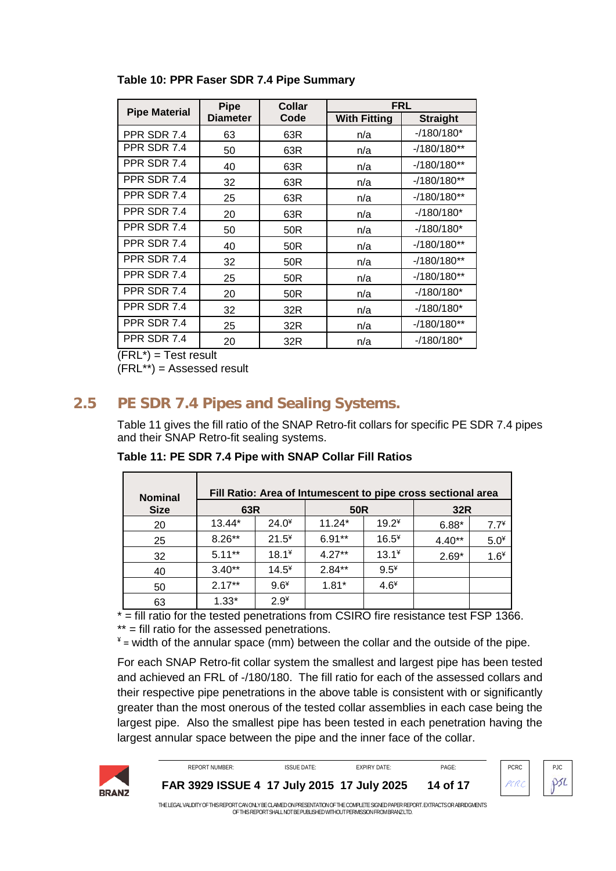| <b>Pipe Material</b> | <b>Pipe</b>     | Collar          | <b>FRL</b>          |                 |  |
|----------------------|-----------------|-----------------|---------------------|-----------------|--|
|                      | <b>Diameter</b> | Code            | <b>With Fitting</b> | <b>Straight</b> |  |
| PPR SDR 7.4          | 63              | 63R             | n/a                 | $-180/180*$     |  |
| PPR SDR 7.4          | 50              | 63R             | n/a                 | $-180/180**$    |  |
| PPR SDR 7.4          | 40              | 63R             | n/a                 | $-180/180**$    |  |
| PPR SDR 7.4          | 32              | 63R             | n/a                 | $-180/180**$    |  |
| PPR SDR 7.4          | 25              | 63R             | n/a                 | $-180/180**$    |  |
| PPR SDR 7.4          | 20              | 63R             | n/a                 | $-180/180*$     |  |
| PPR SDR 7.4          | 50              | 50 <sub>R</sub> | n/a                 | $-180/180*$     |  |
| PPR SDR 7.4          | 40              | 50R             | n/a                 | $-180/180**$    |  |
| PPR SDR 7.4          | 32              | 50R             | n/a                 | $-180/180**$    |  |
| PPR SDR 7.4          | 25              | 50 <sub>R</sub> | n/a                 | $-180/180**$    |  |
| PPR SDR 7.4          | 20              | 50 <sub>R</sub> | n/a                 | $-180/180*$     |  |
| PPR SDR 7.4          | 32              | 32R             | n/a                 | $-180/180*$     |  |
| PPR SDR 7.4          | 25              | 32R             | n/a                 | $-180/180**$    |  |
| PPR SDR 7.4          | 20              | 32R             | n/a                 | $-180/180*$     |  |

<span id="page-13-1"></span>**Table 10: PPR Faser SDR 7.4 Pipe Summary**

 $(FRL<sup>*</sup>) = Test result$ 

 $(FRL^{**})$  = Assessed result

# **2.5 PE SDR 7.4 Pipes and Sealing Systems.**

<span id="page-13-0"></span>[Table 11](#page-13-2) gives the fill ratio of the SNAP Retro-fit collars for specific PE SDR 7.4 pipes and their SNAP Retro-fit sealing systems.

| <b>Nominal</b> |           |         |          |         | Fill Ratio: Area of Intumescent to pipe cross sectional area |        |
|----------------|-----------|---------|----------|---------|--------------------------------------------------------------|--------|
| <b>Size</b>    | 63R       |         | 50R      |         | 32R                                                          |        |
| 20             | 13.44*    | $24.0*$ | $11.24*$ | $19.2*$ | $6.88*$                                                      | $7.7*$ |
| 25             | $8.26**$  | $21.5*$ | $6.91**$ | $16.5*$ | $4.40**$                                                     | $5.0*$ |
| 32             | $5.11***$ | $18.1*$ | $4.27**$ | $13.1*$ | $2.69*$                                                      | $1.6*$ |
| 40             | $3.40**$  | $14.5*$ | $2.84**$ | $9.5*$  |                                                              |        |
| 50             | $2.17**$  | $9.6*$  | $1.81*$  | $4.6*$  |                                                              |        |
| 63             | $1.33*$   | $2.9*$  |          |         |                                                              |        |

<span id="page-13-2"></span>**Table 11: PE SDR 7.4 Pipe with SNAP Collar Fill Ratios**

 $\overline{f}$  = fill ratio for the tested penetrations from CSIRO fire resistance test FSP 1366.

\*\* = fill ratio for the assessed penetrations.

 $*$  = width of the annular space (mm) between the collar and the outside of the pipe.

For each SNAP Retro-fit collar system the smallest and largest pipe has been tested and achieved an FRL of -/180/180. The fill ratio for each of the assessed collars and their respective pipe penetrations in the above table is consistent with or significantly greater than the most onerous of the tested collar assemblies in each case being the largest pipe. Also the smallest pipe has been tested in each penetration having the largest annular space between the pipe and the inner face of the collar.



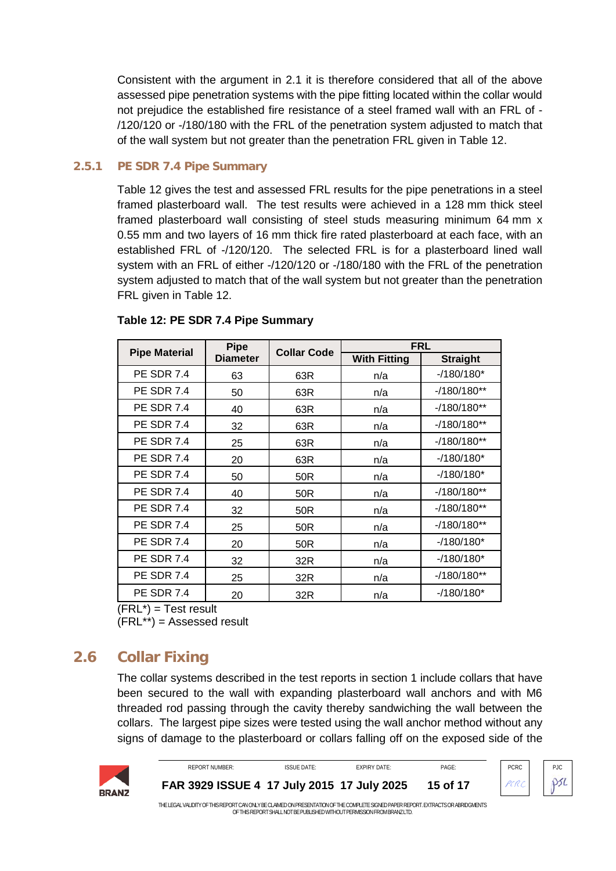Consistent with the argument in 2.1 it is therefore considered that all of the above assessed pipe penetration systems with the pipe fitting located within the collar would not prejudice the established fire resistance of a steel framed wall with an FRL of - /120/120 or -/180/180 with the FRL of the penetration system adjusted to match that of the wall system but not greater than the penetration FRL given in Table 12.

### **2.5.1 PE SDR 7.4 Pipe Summary**

<span id="page-14-0"></span>Table 12 gives the test and assessed FRL results for the pipe penetrations in a steel framed plasterboard wall. The test results were achieved in a 128 mm thick steel framed plasterboard wall consisting of steel studs measuring minimum 64 mm x 0.55 mm and two layers of 16 mm thick fire rated plasterboard at each face, with an established FRL of -/120/120. The selected FRL is for a plasterboard lined wall system with an FRL of either -/120/120 or -/180/180 with the FRL of the penetration system adjusted to match that of the wall system but not greater than the penetration FRL given in Table 12.

|                      | <b>Pipe</b>     | <b>Collar Code</b> | <b>FRL</b>          |                 |  |
|----------------------|-----------------|--------------------|---------------------|-----------------|--|
| <b>Pipe Material</b> | <b>Diameter</b> |                    | <b>With Fitting</b> | <b>Straight</b> |  |
| <b>PE SDR 7.4</b>    | 63              | 63R                | n/a                 | $-180/180*$     |  |
| <b>PE SDR 7.4</b>    | 50              | 63R                | n/a                 | $-180/180**$    |  |
| <b>PE SDR 7.4</b>    | 40              | 63R                | n/a                 | $-180/180**$    |  |
| <b>PE SDR 7.4</b>    | 32              | 63R                | n/a                 | $-180/180**$    |  |
| <b>PE SDR 7.4</b>    | 25              | 63R                | n/a                 | $-180/180**$    |  |
| <b>PE SDR 7.4</b>    | 20              | 63R                | n/a                 | $-180/180*$     |  |
| <b>PE SDR 7.4</b>    | 50              | 50R                | n/a                 | $-180/180*$     |  |
| <b>PE SDR 7.4</b>    | 40              | 50R                | n/a                 | $-180/180**$    |  |
| <b>PE SDR 7.4</b>    | 32              | 50R                | n/a                 | $-180/180**$    |  |
| <b>PE SDR 7.4</b>    | 25              | 50R                | n/a                 | $-180/180**$    |  |
| <b>PE SDR 7.4</b>    | 20              | 50R                | n/a                 | $-180/180*$     |  |
| <b>PE SDR 7.4</b>    | 32              | 32R                | n/a                 | $-180/180*$     |  |
| <b>PE SDR 7.4</b>    | 25              | 32R                | n/a                 | $-180/180**$    |  |
| <b>PE SDR 7.4</b>    | 20              | 32R                | n/a                 | $-180/180*$     |  |

### <span id="page-14-2"></span>**Table 12: PE SDR 7.4 Pipe Summary**

 $(FRL^*)$  = Test result (FRL\*\*) = Assessed result

# **2.6 Collar Fixing**

<span id="page-14-1"></span>The collar systems described in the test reports in section 1 include collars that have been secured to the wall with expanding plasterboard wall anchors and with M6 threaded rod passing through the cavity thereby sandwiching the wall between the collars. The largest pipe sizes were tested using the wall anchor method without any signs of damage to the plasterboard or collars falling off on the exposed side of the



REPORT NUMBER: ISSUE DATE: EXPIRY DATE: PAGE: PAGE: PCRC PIC PCRC **[FAR 3929](#page-0-0) ISSUE 4 17 July 2015 17 July 2025 15 of 17**

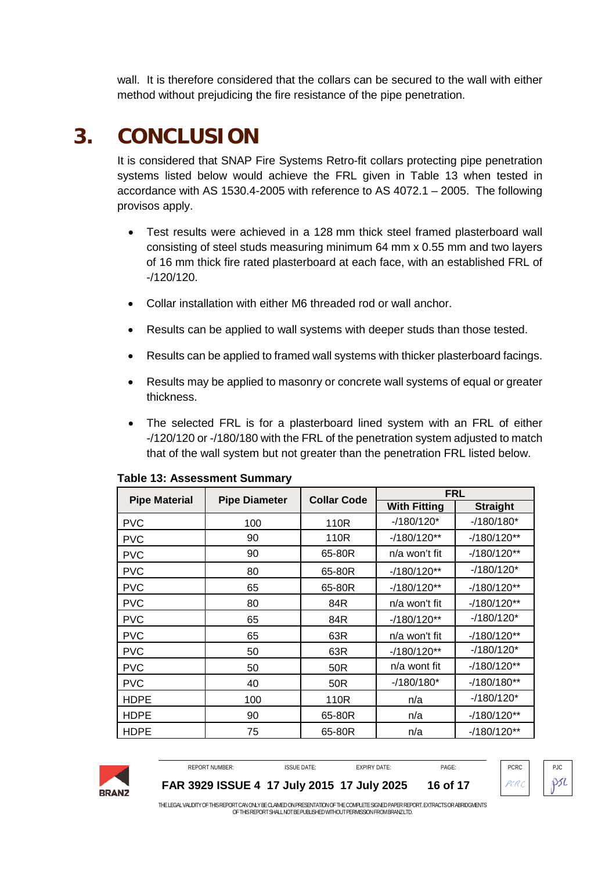wall. It is therefore considered that the collars can be secured to the wall with either method without prejudicing the fire resistance of the pipe penetration.

# **3. CONCLUSION**

<span id="page-15-0"></span>It is considered that SNAP Fire Systems Retro-fit collars protecting pipe penetration systems listed below would achieve the FRL given in [Table 13](#page-15-1) when tested in accordance with AS 1530.4-2005 with reference to AS 4072.1 – 2005. The following provisos apply.

- Test results were achieved in a 128 mm thick steel framed plasterboard wall consisting of steel studs measuring minimum 64 mm x 0.55 mm and two layers of 16 mm thick fire rated plasterboard at each face, with an established FRL of -/120/120.
- Collar installation with either M6 threaded rod or wall anchor.
- Results can be applied to wall systems with deeper studs than those tested.
- Results can be applied to framed wall systems with thicker plasterboard facings.
- Results may be applied to masonry or concrete wall systems of equal or greater thickness.
- The selected FRL is for a plasterboard lined system with an FRL of either -/120/120 or -/180/180 with the FRL of the penetration system adjusted to match that of the wall system but not greater than the penetration FRL listed below.

| <b>Pipe Material</b> | <b>Pipe Diameter</b> | <b>Collar Code</b> | <b>FRL</b>          |                 |  |
|----------------------|----------------------|--------------------|---------------------|-----------------|--|
|                      |                      |                    | <b>With Fitting</b> | <b>Straight</b> |  |
| <b>PVC</b>           | 100                  | 110R               | $-180/120*$         | $-180/180*$     |  |
| <b>PVC</b>           | 90                   | 110R               | $-180/120**$        | $-180/120**$    |  |
| <b>PVC</b>           | 90                   | 65-80R             | n/a won't fit       | $-180/120**$    |  |
| <b>PVC</b>           | 80                   | 65-80R             | $-180/120**$        | $-180/120*$     |  |
| <b>PVC</b>           | 65                   | 65-80R             | $-180/120**$        | $-180/120**$    |  |
| <b>PVC</b>           | 80                   | 84R                | n/a won't fit       | $-180/120**$    |  |
| <b>PVC</b>           | 65                   | 84R                | $-180/120**$        | $-180/120*$     |  |
| <b>PVC</b>           | 65                   | 63R                | n/a won't fit       | $-180/120**$    |  |
| <b>PVC</b>           | 50                   | 63R                | $-180/120**$        | $-180/120*$     |  |
| <b>PVC</b>           | 50                   | 50R                | n/a wont fit        | $-180/120**$    |  |
| <b>PVC</b>           | 40                   | 50R                | $-180/180*$         | $-180/180**$    |  |
| <b>HDPE</b>          | 100                  | 110R               | n/a                 | $-180/120*$     |  |
| <b>HDPE</b>          | 90                   | 65-80R             | n/a                 | $-180/120**$    |  |
| <b>HDPE</b>          | 75                   | 65-80R             | n/a                 | $-180/120**$    |  |

<span id="page-15-1"></span>

|  |  | <b>Table 13: Assessment Summary</b> |  |
|--|--|-------------------------------------|--|
|--|--|-------------------------------------|--|



REPORT NUMBER: ISSUE DATE: EXPIRY DATE: PAGE: PCRC PJC **[FAR 3929](#page-0-0) ISSUE 4 17 July 2015 17 July 2025 16 of 17**



PSL